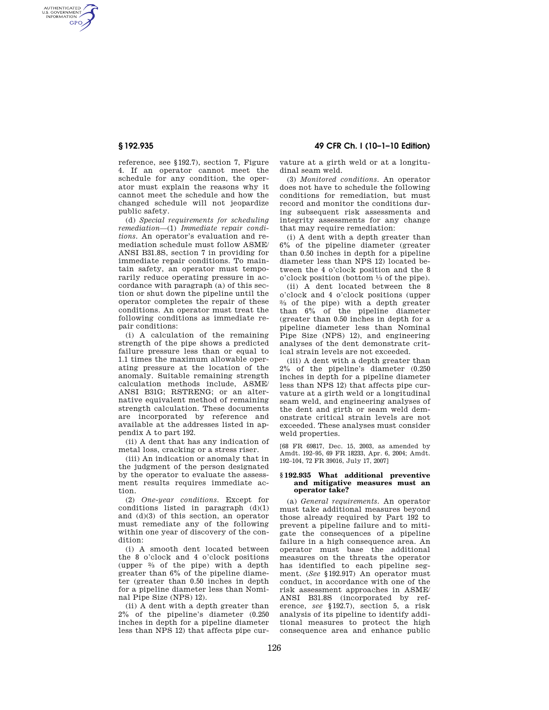AUTHENTICATED<br>U.S. GOVERNMENT<br>INFORMATION **GPO** 

**§ 192.935 49 CFR Ch. I (10–1–10 Edition)** 

reference, see §192.7), section 7, Figure 4. If an operator cannot meet the schedule for any condition, the operator must explain the reasons why it cannot meet the schedule and how the changed schedule will not jeopardize public safety.

(d) *Special requirements for scheduling remediation*—(1) *Immediate repair conditions.* An operator's evaluation and remediation schedule must follow ASME/ ANSI B31.8S, section 7 in providing for immediate repair conditions. To maintain safety, an operator must temporarily reduce operating pressure in accordance with paragraph (a) of this section or shut down the pipeline until the operator completes the repair of these conditions. An operator must treat the following conditions as immediate repair conditions:

(i) A calculation of the remaining strength of the pipe shows a predicted failure pressure less than or equal to 1.1 times the maximum allowable operating pressure at the location of the anomaly. Suitable remaining strength calculation methods include, ASME/ ANSI B31G; RSTRENG; or an alternative equivalent method of remaining strength calculation. These documents are incorporated by reference and available at the addresses listed in appendix A to part 192.

(ii) A dent that has any indication of metal loss, cracking or a stress riser.

(iii) An indication or anomaly that in the judgment of the person designated by the operator to evaluate the assessment results requires immediate action.

(2) *One-year conditions.* Except for conditions listed in paragraph (d)(1) and (d)(3) of this section, an operator must remediate any of the following within one year of discovery of the condition:

(i) A smooth dent located between the 8 o'clock and 4 o'clock positions (upper 2⁄3 of the pipe) with a depth greater than 6% of the pipeline diameter (greater than 0.50 inches in depth for a pipeline diameter less than Nominal Pipe Size (NPS) 12).

(ii) A dent with a depth greater than 2% of the pipeline's diameter (0.250 inches in depth for a pipeline diameter less than NPS 12) that affects pipe curvature at a girth weld or at a longitudinal seam weld.

(3) *Monitored conditions.* An operator does not have to schedule the following conditions for remediation, but must record and monitor the conditions during subsequent risk assessments and integrity assessments for any change that may require remediation:

(i) A dent with a depth greater than 6% of the pipeline diameter (greater than 0.50 inches in depth for a pipeline diameter less than NPS 12) located between the 4 o'clock position and the 8 o'clock position (bottom 1⁄3 of the pipe).

(ii) A dent located between the 8 o'clock and 4 o'clock positions (upper 2⁄3 of the pipe) with a depth greater than 6% of the pipeline diameter (greater than 0.50 inches in depth for a pipeline diameter less than Nominal Pipe Size (NPS) 12), and engineering analyses of the dent demonstrate critical strain levels are not exceeded.

(iii) A dent with a depth greater than 2% of the pipeline's diameter (0.250 inches in depth for a pipeline diameter less than NPS 12) that affects pipe curvature at a girth weld or a longitudinal seam weld, and engineering analyses of the dent and girth or seam weld demonstrate critical strain levels are not exceeded. These analyses must consider weld properties.

[68 FR 69817, Dec. 15, 2003, as amended by Amdt. 192–95, 69 FR 18233, Apr. 6, 2004; Amdt. 192–104, 72 FR 39016, July 17, 2007]

#### **§ 192.935 What additional preventive and mitigative measures must an operator take?**

(a) *General requirements.* An operator must take additional measures beyond those already required by Part 192 to prevent a pipeline failure and to mitigate the consequences of a pipeline failure in a high consequence area. An operator must base the additional measures on the threats the operator has identified to each pipeline segment. (*See* §192.917) An operator must conduct, in accordance with one of the risk assessment approaches in ASME/ ANSI B31.8S (incorporated by reference, *see* §192.7), section 5, a risk analysis of its pipeline to identify additional measures to protect the high consequence area and enhance public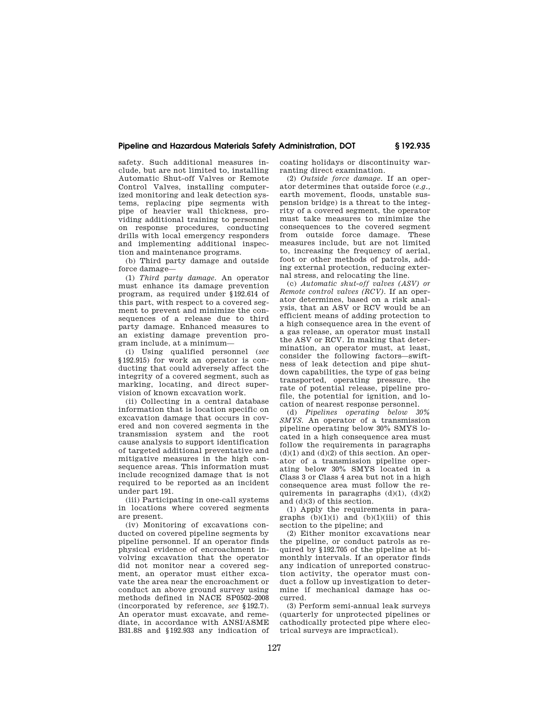## **Pipeline and Hazardous Materials Safety Administration, DOT § 192.935**

safety. Such additional measures include, but are not limited to, installing Automatic Shut-off Valves or Remote Control Valves, installing computerized monitoring and leak detection systems, replacing pipe segments with pipe of heavier wall thickness, providing additional training to personnel on response procedures, conducting drills with local emergency responders and implementing additional inspection and maintenance programs.

(b) Third party damage and outside force damage—

(1) *Third party damage.* An operator must enhance its damage prevention program, as required under §192.614 of this part, with respect to a covered segment to prevent and minimize the consequences of a release due to third party damage. Enhanced measures to an existing damage prevention program include, at a minimum—

(i) Using qualified personnel (*see*  §192.915) for work an operator is conducting that could adversely affect the integrity of a covered segment, such as marking, locating, and direct supervision of known excavation work.

(ii) Collecting in a central database information that is location specific on excavation damage that occurs in covered and non covered segments in the transmission system and the root cause analysis to support identification of targeted additional preventative and mitigative measures in the high consequence areas. This information must include recognized damage that is not required to be reported as an incident under part 191.

(iii) Participating in one-call systems in locations where covered segments are present.

(iv) Monitoring of excavations conducted on covered pipeline segments by pipeline personnel. If an operator finds physical evidence of encroachment involving excavation that the operator did not monitor near a covered segment, an operator must either excavate the area near the encroachment or conduct an above ground survey using methods defined in NACE SP0502–2008 (incorporated by reference, *see* §192.7). An operator must excavate, and remediate, in accordance with ANSI/ASME B31.8S and §192.933 any indication of coating holidays or discontinuity warranting direct examination.

(2) *Outside force damage.* If an operator determines that outside force (*e.g.,*  earth movement, floods, unstable suspension bridge) is a threat to the integrity of a covered segment, the operator must take measures to minimize the consequences to the covered segment from outside force damage. These measures include, but are not limited to, increasing the frequency of aerial, foot or other methods of patrols, adding external protection, reducing external stress, and relocating the line.

(c) *Automatic shut-off valves (ASV) or Remote control valves (RCV).* If an operator determines, based on a risk analysis, that an ASV or RCV would be an efficient means of adding protection to a high consequence area in the event of a gas release, an operator must install the ASV or RCV. In making that determination, an operator must, at least, consider the following factors—swiftness of leak detection and pipe shutdown capabilities, the type of gas being transported, operating pressure, the rate of potential release, pipeline profile, the potential for ignition, and location of nearest response personnel.

(d) *Pipelines operating below 30% SMYS.* An operator of a transmission pipeline operating below 30% SMYS located in a high consequence area must follow the requirements in paragraphs  $(d)(1)$  and  $(d)(2)$  of this section. An operator of a transmission pipeline operating below 30% SMYS located in a Class 3 or Class 4 area but not in a high consequence area must follow the requirements in paragraphs  $(d)(1)$ ,  $(d)(2)$ and (d)(3) of this section.

(1) Apply the requirements in paragraphs  $(b)(1)(i)$  and  $(b)(1)(iii)$  of this section to the pipeline; and

(2) Either monitor excavations near the pipeline, or conduct patrols as required by §192.705 of the pipeline at bimonthly intervals. If an operator finds any indication of unreported construction activity, the operator must conduct a follow up investigation to determine if mechanical damage has occurred.

(3) Perform semi-annual leak surveys (quarterly for unprotected pipelines or cathodically protected pipe where electrical surveys are impractical).